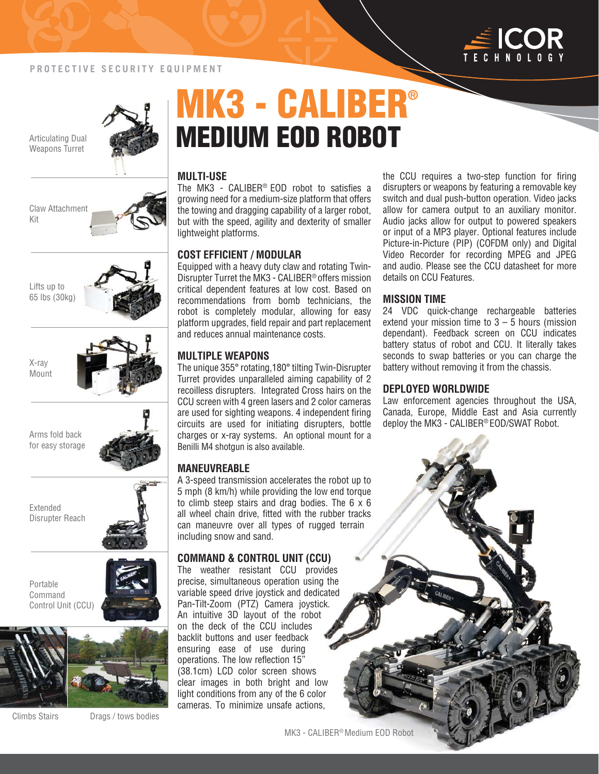

#### **PROTECTIVE SECURITY EQUIPMENT**

Articulating Dual

Claw Attachment

Kit

Lifts up to 65 lbs (30kg)

X-ray Mount



# **MK3 - CALIBER® MEDIUM EOD ROBOT**

#### **MULTI-USE**

The MK3 - CALIBER® EOD robot to satisfies a growing need for a medium-size platform that offers the towing and dragging capability of a larger robot, but with the speed, agility and dexterity of smaller lightweight platforms.

#### **COST EFFICIENT / MODULAR**

Equipped with a heavy duty claw and rotating Twin-Disrupter Turret the MK3 - CALIBER® offers mission critical dependent features at low cost. Based on recommendations from bomb technicians, the robot is completely modular, allowing for easy platform upgrades, field repair and part replacement and reduces annual maintenance costs.

#### **MULTIPLE WEAPONS**

The unique 355° rotating,180° tilting Twin-Disrupter Turret provides unparalleled aiming capability of 2 recoilless disrupters. Integrated Cross hairs on the CCU screen with 4 green lasers and 2 color cameras are used for sighting weapons. 4 independent firing circuits are used for initiating disrupters, bottle charges or x-ray systems. An optional mount for a Benilli M4 shotgun is also available.

#### **MANEUVREABLE**

A 3-speed transmission accelerates the robot up to 5 mph (8 km/h) while providing the low end torque to climb steep stairs and drag bodies. The  $6 \times 6$ all wheel chain drive, fitted with the rubber tracks can maneuvre over all types of rugged terrain including snow and sand.

#### **COMMAND & CONTROL UNIT (CCU)**

The weather resistant CCU provides precise, simultaneous operation using the variable speed drive joystick and dedicated Pan-Tilt-Zoom (PTZ) Camera joystick. An intuitive 3D layout of the robot on the deck of the CCU includes backlit buttons and user feedback ensuring ease of use during operations. The low reflection 15" (38.1cm) LCD color screen shows clear images in both bright and low light conditions from any of the 6 color cameras. To minimize unsafe actions,

the CCU requires a two-step function for firing disrupters or weapons by featuring a removable key switch and dual push-button operation. Video jacks allow for camera output to an auxiliary monitor. Audio jacks allow for output to powered speakers or input of a MP3 player. Optional features include Picture-in-Picture (PIP) (COFDM only) and Digital Video Recorder for recording MPEG and JPEG and audio. Please see the CCU datasheet for more details on CCU Features.

#### **MISSION TIME**

24 VDC quick-change rechargeable batteries extend your mission time to  $3 - 5$  hours (mission dependant). Feedback screen on CCU indicates battery status of robot and CCU. It literally takes seconds to swap batteries or you can charge the battery without removing it from the chassis.

#### **DEPLOYED WORLDWIDE**

Law enforcement agencies throughout the USA, Canada, Europe, Middle East and Asia currently deploy the MK3 - CALIBER® EOD/SWAT Robot.

Extended Disrupter Reach

Arms fold back for easy storage

Portable Command Control Unit (CCU)





Climbs Stairs

Drags / tows bodies

MK3 - CALIBER® Medium EOD Robot